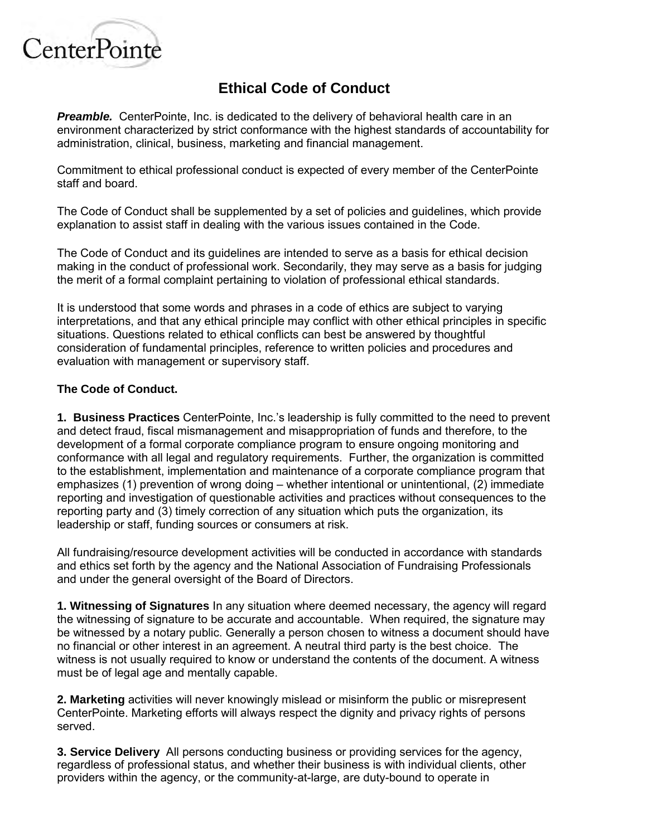

## **Ethical Code of Conduct**

**Preamble.** CenterPointe, Inc. is dedicated to the delivery of behavioral health care in an environment characterized by strict conformance with the highest standards of accountability for administration, clinical, business, marketing and financial management.

Commitment to ethical professional conduct is expected of every member of the CenterPointe staff and board.

The Code of Conduct shall be supplemented by a set of policies and guidelines, which provide explanation to assist staff in dealing with the various issues contained in the Code.

The Code of Conduct and its guidelines are intended to serve as a basis for ethical decision making in the conduct of professional work. Secondarily, they may serve as a basis for judging the merit of a formal complaint pertaining to violation of professional ethical standards.

It is understood that some words and phrases in a code of ethics are subject to varying interpretations, and that any ethical principle may conflict with other ethical principles in specific situations. Questions related to ethical conflicts can best be answered by thoughtful consideration of fundamental principles, reference to written policies and procedures and evaluation with management or supervisory staff.

## **The Code of Conduct.**

**1. Business Practices** CenterPointe, Inc.'s leadership is fully committed to the need to prevent and detect fraud, fiscal mismanagement and misappropriation of funds and therefore, to the development of a formal corporate compliance program to ensure ongoing monitoring and conformance with all legal and regulatory requirements. Further, the organization is committed to the establishment, implementation and maintenance of a corporate compliance program that emphasizes (1) prevention of wrong doing – whether intentional or unintentional, (2) immediate reporting and investigation of questionable activities and practices without consequences to the reporting party and (3) timely correction of any situation which puts the organization, its leadership or staff, funding sources or consumers at risk.

All fundraising/resource development activities will be conducted in accordance with standards and ethics set forth by the agency and the National Association of Fundraising Professionals and under the general oversight of the Board of Directors.

**1. Witnessing of Signatures** In any situation where deemed necessary, the agency will regard the witnessing of signature to be accurate and accountable. When required, the signature may be witnessed by a notary public. Generally a person chosen to witness a document should have no financial or other interest in an agreement. A neutral third party is the best choice. The witness is not usually required to know or understand the contents of the document. A witness must be of legal age and mentally capable.

**2. Marketing** activities will never knowingly mislead or misinform the public or misrepresent CenterPointe. Marketing efforts will always respect the dignity and privacy rights of persons served.

**3. Service Delivery** All persons conducting business or providing services for the agency, regardless of professional status, and whether their business is with individual clients, other providers within the agency, or the community-at-large, are duty-bound to operate in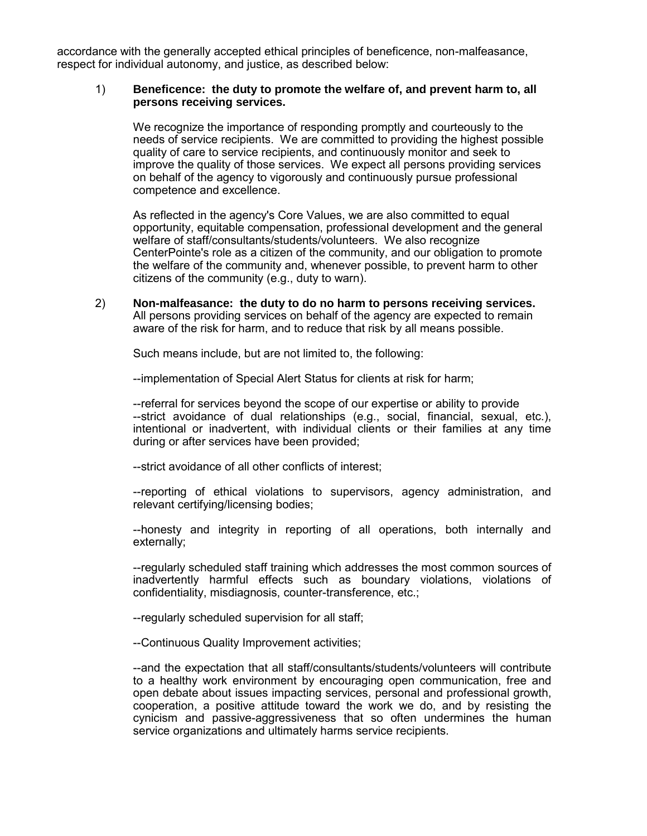accordance with the generally accepted ethical principles of beneficence, non-malfeasance, respect for individual autonomy, and justice, as described below:

## 1) **Beneficence: the duty to promote the welfare of, and prevent harm to, all persons receiving services.**

We recognize the importance of responding promptly and courteously to the needs of service recipients. We are committed to providing the highest possible quality of care to service recipients, and continuously monitor and seek to improve the quality of those services. We expect all persons providing services on behalf of the agency to vigorously and continuously pursue professional competence and excellence.

As reflected in the agency's Core Values, we are also committed to equal opportunity, equitable compensation, professional development and the general welfare of staff/consultants/students/volunteers. We also recognize CenterPointe's role as a citizen of the community, and our obligation to promote the welfare of the community and, whenever possible, to prevent harm to other citizens of the community (e.g., duty to warn).

2) **Non-malfeasance: the duty to do no harm to persons receiving services.** All persons providing services on behalf of the agency are expected to remain aware of the risk for harm, and to reduce that risk by all means possible.

Such means include, but are not limited to, the following:

--implementation of Special Alert Status for clients at risk for harm;

--referral for services beyond the scope of our expertise or ability to provide --strict avoidance of dual relationships (e.g., social, financial, sexual, etc.), intentional or inadvertent, with individual clients or their families at any time during or after services have been provided;

--strict avoidance of all other conflicts of interest;

--reporting of ethical violations to supervisors, agency administration, and relevant certifying/licensing bodies;

--honesty and integrity in reporting of all operations, both internally and externally;

--regularly scheduled staff training which addresses the most common sources of inadvertently harmful effects such as boundary violations, violations of confidentiality, misdiagnosis, counter-transference, etc.;

--regularly scheduled supervision for all staff;

--Continuous Quality Improvement activities;

--and the expectation that all staff/consultants/students/volunteers will contribute to a healthy work environment by encouraging open communication, free and open debate about issues impacting services, personal and professional growth, cooperation, a positive attitude toward the work we do, and by resisting the cynicism and passive-aggressiveness that so often undermines the human service organizations and ultimately harms service recipients.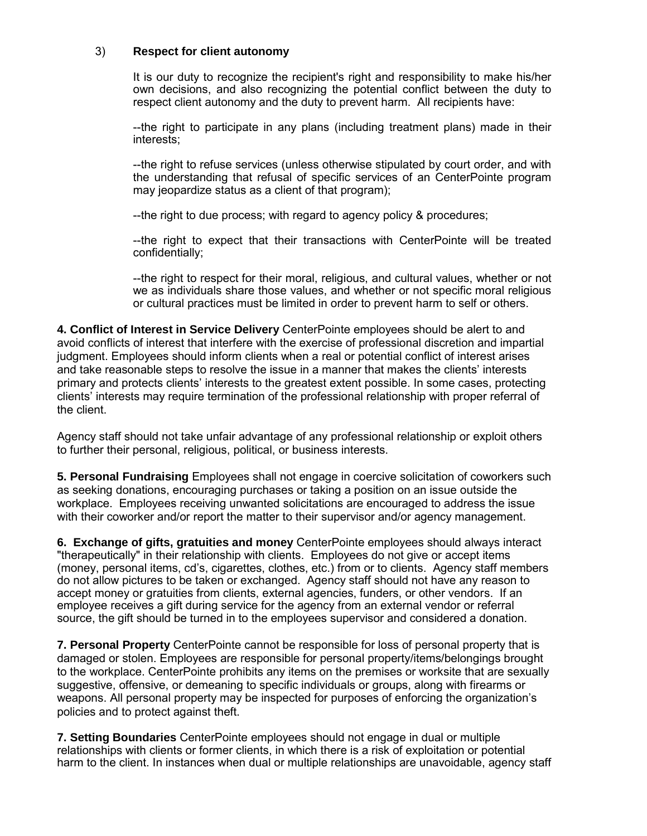## 3) **Respect for client autonomy**

It is our duty to recognize the recipient's right and responsibility to make his/her own decisions, and also recognizing the potential conflict between the duty to respect client autonomy and the duty to prevent harm. All recipients have:

--the right to participate in any plans (including treatment plans) made in their interests;

--the right to refuse services (unless otherwise stipulated by court order, and with the understanding that refusal of specific services of an CenterPointe program may jeopardize status as a client of that program);

--the right to due process; with regard to agency policy & procedures;

--the right to expect that their transactions with CenterPointe will be treated confidentially;

--the right to respect for their moral, religious, and cultural values, whether or not we as individuals share those values, and whether or not specific moral religious or cultural practices must be limited in order to prevent harm to self or others.

**4. Conflict of Interest in Service Delivery** CenterPointe employees should be alert to and avoid conflicts of interest that interfere with the exercise of professional discretion and impartial judgment. Employees should inform clients when a real or potential conflict of interest arises and take reasonable steps to resolve the issue in a manner that makes the clients' interests primary and protects clients' interests to the greatest extent possible. In some cases, protecting clients' interests may require termination of the professional relationship with proper referral of the client.

Agency staff should not take unfair advantage of any professional relationship or exploit others to further their personal, religious, political, or business interests.

**5. Personal Fundraising** Employees shall not engage in coercive solicitation of coworkers such as seeking donations, encouraging purchases or taking a position on an issue outside the workplace. Employees receiving unwanted solicitations are encouraged to address the issue with their coworker and/or report the matter to their supervisor and/or agency management.

**6. Exchange of gifts, gratuities and money** CenterPointe employees should always interact "therapeutically" in their relationship with clients. Employees do not give or accept items (money, personal items, cd's, cigarettes, clothes, etc.) from or to clients. Agency staff members do not allow pictures to be taken or exchanged. Agency staff should not have any reason to accept money or gratuities from clients, external agencies, funders, or other vendors. If an employee receives a gift during service for the agency from an external vendor or referral source, the gift should be turned in to the employees supervisor and considered a donation.

**7. Personal Property** CenterPointe cannot be responsible for loss of personal property that is damaged or stolen. Employees are responsible for personal property/items/belongings brought to the workplace. CenterPointe prohibits any items on the premises or worksite that are sexually suggestive, offensive, or demeaning to specific individuals or groups, along with firearms or weapons. All personal property may be inspected for purposes of enforcing the organization's policies and to protect against theft.

**7. Setting Boundaries** CenterPointe employees should not engage in dual or multiple relationships with clients or former clients, in which there is a risk of exploitation or potential harm to the client. In instances when dual or multiple relationships are unavoidable, agency staff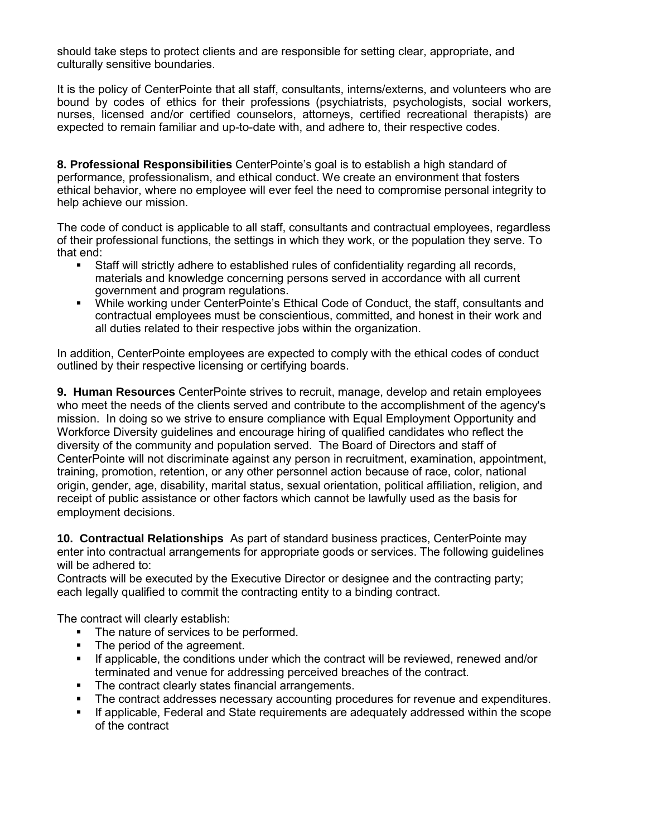should take steps to protect clients and are responsible for setting clear, appropriate, and culturally sensitive boundaries.

It is the policy of CenterPointe that all staff, consultants, interns/externs, and volunteers who are bound by codes of ethics for their professions (psychiatrists, psychologists, social workers, nurses, licensed and/or certified counselors, attorneys, certified recreational therapists) are expected to remain familiar and up-to-date with, and adhere to, their respective codes.

**8. Professional Responsibilities** CenterPointe's goal is to establish a high standard of performance, professionalism, and ethical conduct. We create an environment that fosters ethical behavior, where no employee will ever feel the need to compromise personal integrity to help achieve our mission.

The code of conduct is applicable to all staff, consultants and contractual employees, regardless of their professional functions, the settings in which they work, or the population they serve. To that end:

- Staff will strictly adhere to established rules of confidentiality regarding all records, materials and knowledge concerning persons served in accordance with all current government and program regulations.
- While working under CenterPointe's Ethical Code of Conduct, the staff, consultants and contractual employees must be conscientious, committed, and honest in their work and all duties related to their respective jobs within the organization.

In addition, CenterPointe employees are expected to comply with the ethical codes of conduct outlined by their respective licensing or certifying boards.

**9. Human Resources** CenterPointe strives to recruit, manage, develop and retain employees who meet the needs of the clients served and contribute to the accomplishment of the agency's mission. In doing so we strive to ensure compliance with Equal Employment Opportunity and Workforce Diversity guidelines and encourage hiring of qualified candidates who reflect the diversity of the community and population served. The Board of Directors and staff of CenterPointe will not discriminate against any person in recruitment, examination, appointment, training, promotion, retention, or any other personnel action because of race, color, national origin, gender, age, disability, marital status, sexual orientation, political affiliation, religion, and receipt of public assistance or other factors which cannot be lawfully used as the basis for employment decisions.

**10. Contractual Relationships** As part of standard business practices, CenterPointe may enter into contractual arrangements for appropriate goods or services. The following guidelines will be adhered to:

Contracts will be executed by the Executive Director or designee and the contracting party; each legally qualified to commit the contracting entity to a binding contract.

The contract will clearly establish:

- The nature of services to be performed.
- The period of the agreement.
- If applicable, the conditions under which the contract will be reviewed, renewed and/or terminated and venue for addressing perceived breaches of the contract.
- The contract clearly states financial arrangements.
- **The contract addresses necessary accounting procedures for revenue and expenditures.**
- If applicable, Federal and State requirements are adequately addressed within the scope of the contract